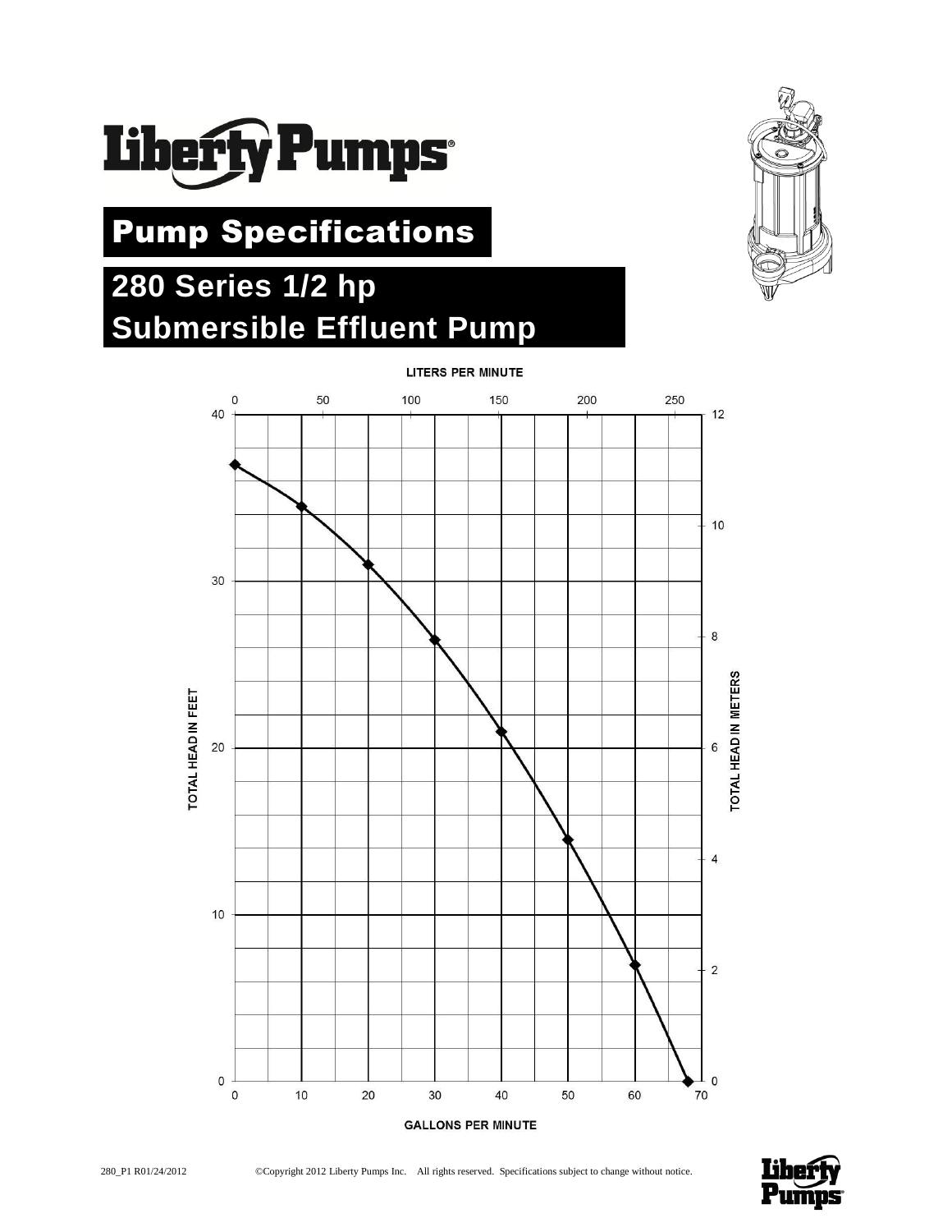

# Pump Specifications

# **280 Series 1/2 hp Submersible Effluent Pump**









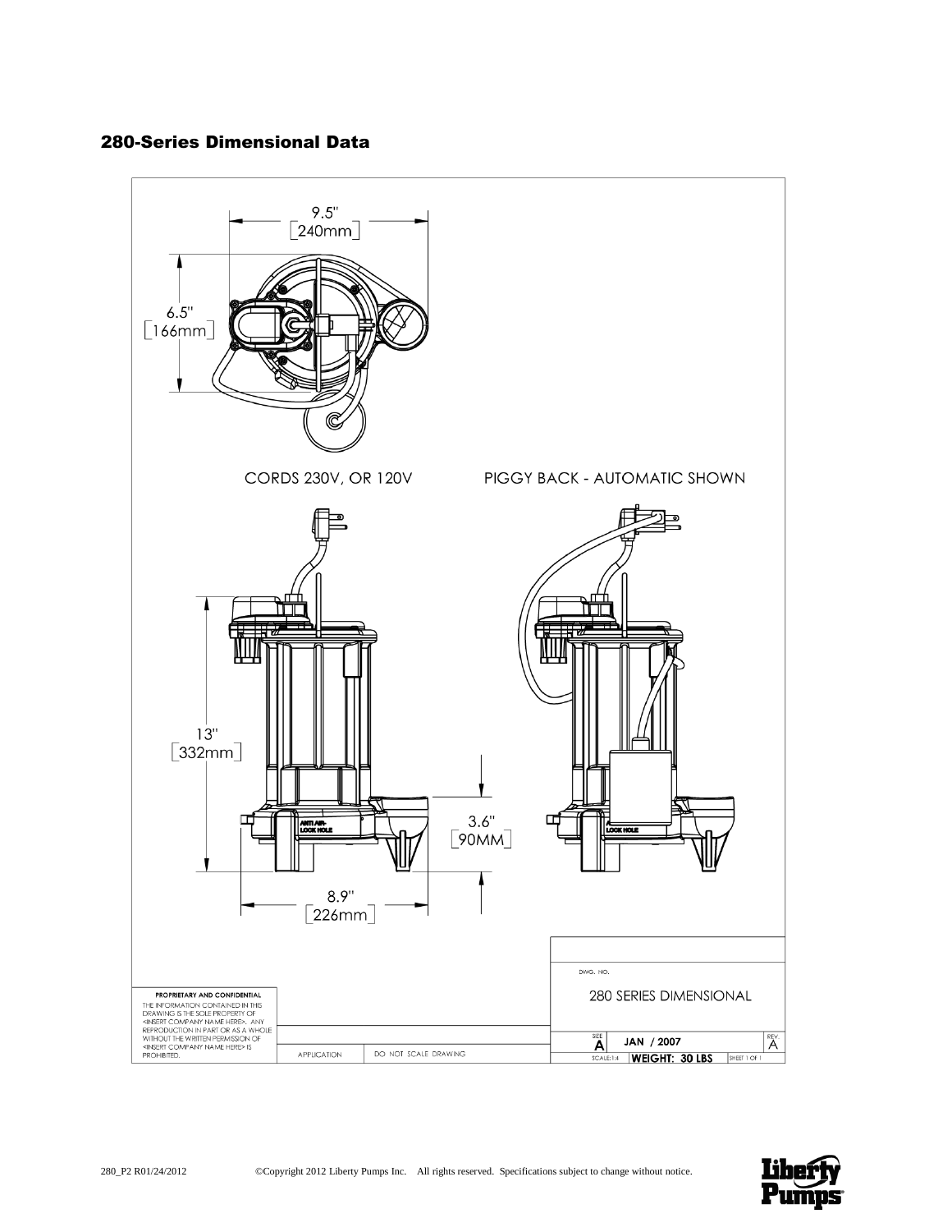# 280-Series Dimensional Data



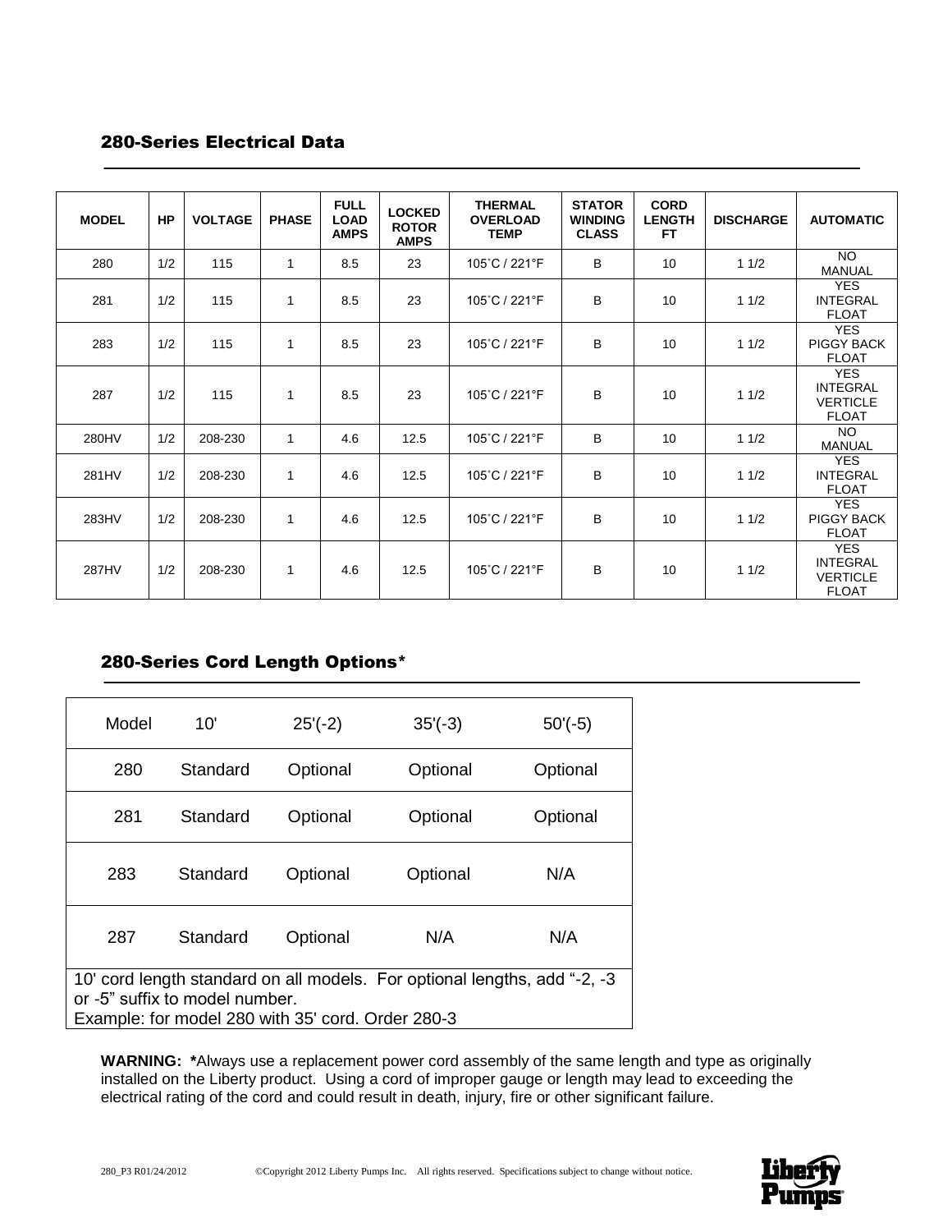# 280-Series Electrical Data

| <b>MODEL</b> | HP  | <b>VOLTAGE</b> | <b>PHASE</b> | <b>FULL</b><br><b>LOAD</b><br><b>AMPS</b> | <b>LOCKED</b><br><b>ROTOR</b><br><b>AMPS</b> | <b>THERMAL</b><br><b>OVERLOAD</b><br><b>TEMP</b> | <b>STATOR</b><br><b>WINDING</b><br><b>CLASS</b> | <b>CORD</b><br><b>LENGTH</b><br>FT. | <b>DISCHARGE</b> | <b>AUTOMATIC</b>                                                 |
|--------------|-----|----------------|--------------|-------------------------------------------|----------------------------------------------|--------------------------------------------------|-------------------------------------------------|-------------------------------------|------------------|------------------------------------------------------------------|
| 280          | 1/2 | 115            | 1            | 8.5                                       | 23                                           | 105°C / 221°F                                    | B                                               | 10                                  | 11/2             | <b>NO</b><br><b>MANUAL</b>                                       |
| 281          | 1/2 | 115            | 1            | 8.5                                       | 23                                           | 105°C / 221°F                                    | B                                               | 10                                  | 11/2             | <b>YES</b><br><b>INTEGRAL</b><br><b>FLOAT</b>                    |
| 283          | 1/2 | 115            | 1            | 8.5                                       | 23                                           | 105°C / 221°F                                    | B                                               | 10                                  | 11/2             | <b>YES</b><br><b>PIGGY BACK</b><br><b>FLOAT</b>                  |
| 287          | 1/2 | 115            | 1            | 8.5                                       | 23                                           | 105°C / 221°F                                    | B                                               | 10                                  | 11/2             | <b>YES</b><br><b>INTEGRAL</b><br><b>VERTICLE</b><br><b>FLOAT</b> |
| 280HV        | 1/2 | 208-230        | $\mathbf{1}$ | 4.6                                       | 12.5                                         | 105°C / 221°F                                    | B                                               | 10                                  | 11/2             | NO.<br><b>MANUAL</b>                                             |
| 281HV        | 1/2 | 208-230        | 1            | 4.6                                       | 12.5                                         | 105°C / 221°F                                    | B                                               | 10                                  | 11/2             | <b>YES</b><br><b>INTEGRAL</b><br><b>FLOAT</b>                    |
| 283HV        | 1/2 | 208-230        | 1            | 4.6                                       | 12.5                                         | 105°C / 221°F                                    | B                                               | 10                                  | 11/2             | <b>YES</b><br><b>PIGGY BACK</b><br><b>FLOAT</b>                  |
| 287HV        | 1/2 | 208-230        | 1            | 4.6                                       | 12.5                                         | 105°C / 221°F                                    | B                                               | 10                                  | 11/2             | <b>YES</b><br><b>INTEGRAL</b><br><b>VERTICLE</b><br><b>FLOAT</b> |

# 280-Series Cord Length Options\*

| Model                                                                               | 10'      | $25'(-2)$ | $35'(-3)$ | $50'(-5)$ |  |
|-------------------------------------------------------------------------------------|----------|-----------|-----------|-----------|--|
| 280                                                                                 | Standard | Optional  | Optional  | Optional  |  |
| 281                                                                                 | Standard | Optional  | Optional  | Optional  |  |
| 283                                                                                 | Standard | Optional  | Optional  | N/A       |  |
| 287<br>Standard                                                                     |          | Optional  | N/A       | N/A       |  |
| 10' cord length standard on all models. For optional lengths, add "-2, -3           |          |           |           |           |  |
| or -5" suffix to model number.<br>Example: for model 280 with 35' cord. Order 280-3 |          |           |           |           |  |
|                                                                                     |          |           |           |           |  |

**WARNING: \***Always use a replacement power cord assembly of the same length and type as originally installed on the Liberty product. Using a cord of improper gauge or length may lead to exceeding the electrical rating of the cord and could result in death, injury, fire or other significant failure.

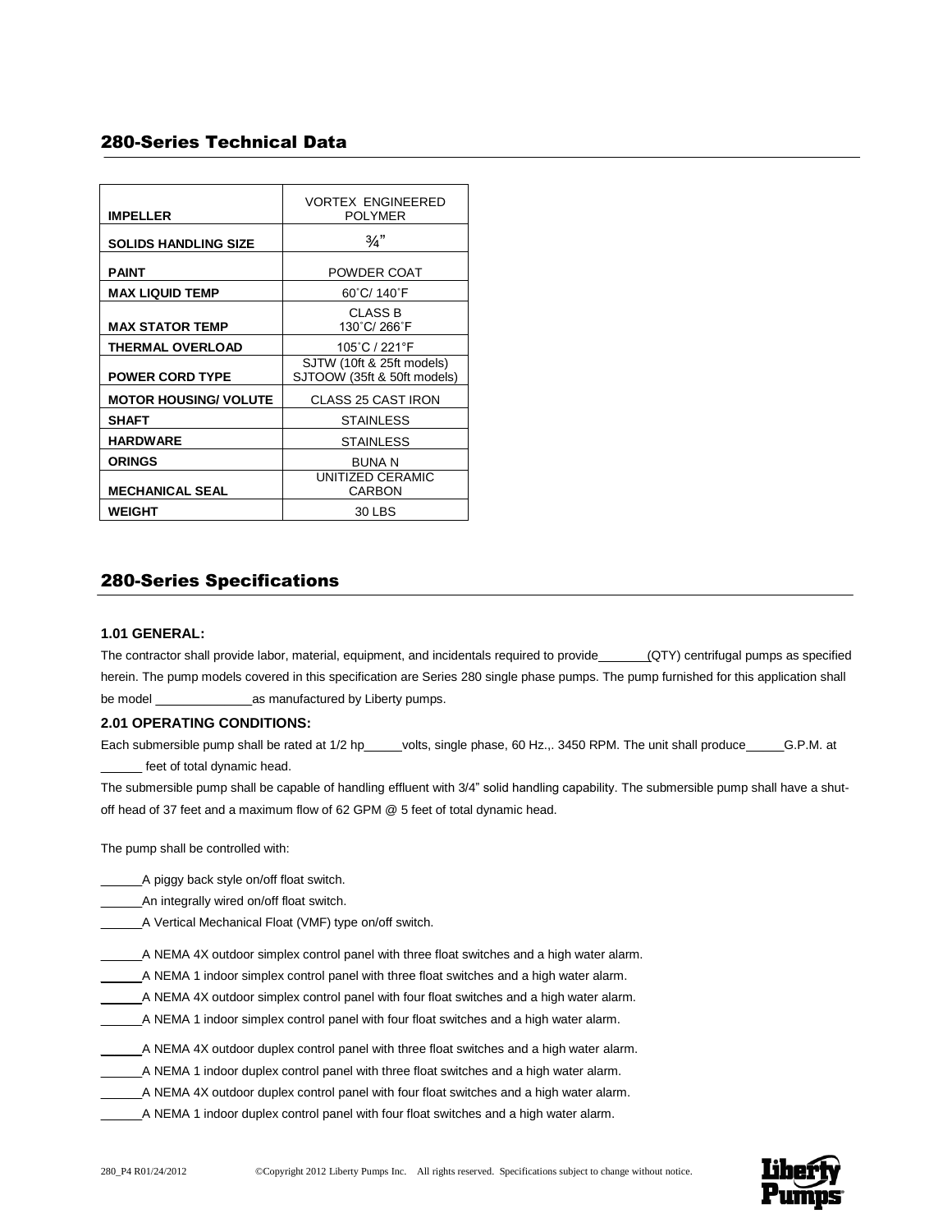# 280-Series Technical Data

| <b>IMPELLER</b>              | <b>VORTEX ENGINEERED</b><br><b>POLYMER</b>               |
|------------------------------|----------------------------------------------------------|
| <b>SOLIDS HANDLING SIZE</b>  | $\frac{3}{4}$                                            |
| <b>PAINT</b>                 | POWDER COAT                                              |
| <b>MAX LIQUID TEMP</b>       | 60°C/ 140°F                                              |
| <b>MAX STATOR TEMP</b>       | <b>CLASS B</b><br>130°C/266°F                            |
| <b>THERMAL OVERLOAD</b>      | 105°C / 221°F                                            |
| <b>POWER CORD TYPE</b>       | SJTW (10ft & 25ft models)<br>SJTOOW (35ft & 50ft models) |
| <b>MOTOR HOUSING/ VOLUTE</b> | <b>CLASS 25 CAST IRON</b>                                |
| <b>SHAFT</b>                 | <b>STAINLESS</b>                                         |
| <b>HARDWARE</b>              | <b>STAINLESS</b>                                         |
| <b>ORINGS</b>                | <b>BUNA N</b>                                            |
| <b>MECHANICAL SEAL</b>       | UNITIZED CERAMIC<br>CARBON                               |
| <b>WEIGHT</b>                | 30 LBS                                                   |

# 280-Series Specifications

## **1.01 GENERAL:**

The contractor shall provide labor, material, equipment, and incidentals required to provide (QTY) centrifugal pumps as specified herein. The pump models covered in this specification are Series 280 single phase pumps. The pump furnished for this application shall be model \_\_\_\_\_\_\_\_\_\_\_\_\_\_as manufactured by Liberty pumps.

#### **2.01 OPERATING CONDITIONS:**

Each submersible pump shall be rated at 1/2 hp\_\_\_\_\_volts, single phase, 60 Hz.,. 3450 RPM. The unit shall produce \_\_\_\_\_\_G.P.M. at \_\_\_\_\_\_ feet of total dynamic head.

The submersible pump shall be capable of handling effluent with 3/4" solid handling capability. The submersible pump shall have a shutoff head of 37 feet and a maximum flow of 62 GPM @ 5 feet of total dynamic head.

The pump shall be controlled with:

- \_\_\_\_\_\_A piggy back style on/off float switch.
- \_\_\_\_\_\_An integrally wired on/off float switch.
- \_\_\_\_\_\_A Vertical Mechanical Float (VMF) type on/off switch.
- \_\_\_\_\_\_A NEMA 4X outdoor simplex control panel with three float switches and a high water alarm.
- \_\_\_\_\_\_A NEMA 1 indoor simplex control panel with three float switches and a high water alarm.
- \_\_\_\_\_\_A NEMA 4X outdoor simplex control panel with four float switches and a high water alarm.
- \_\_\_\_\_\_A NEMA 1 indoor simplex control panel with four float switches and a high water alarm.
- \_\_\_\_\_\_A NEMA 4X outdoor duplex control panel with three float switches and a high water alarm.
- \_\_\_\_\_\_A NEMA 1 indoor duplex control panel with three float switches and a high water alarm.
- \_\_\_\_\_\_A NEMA 4X outdoor duplex control panel with four float switches and a high water alarm.
- \_\_\_\_\_\_A NEMA 1 indoor duplex control panel with four float switches and a high water alarm.

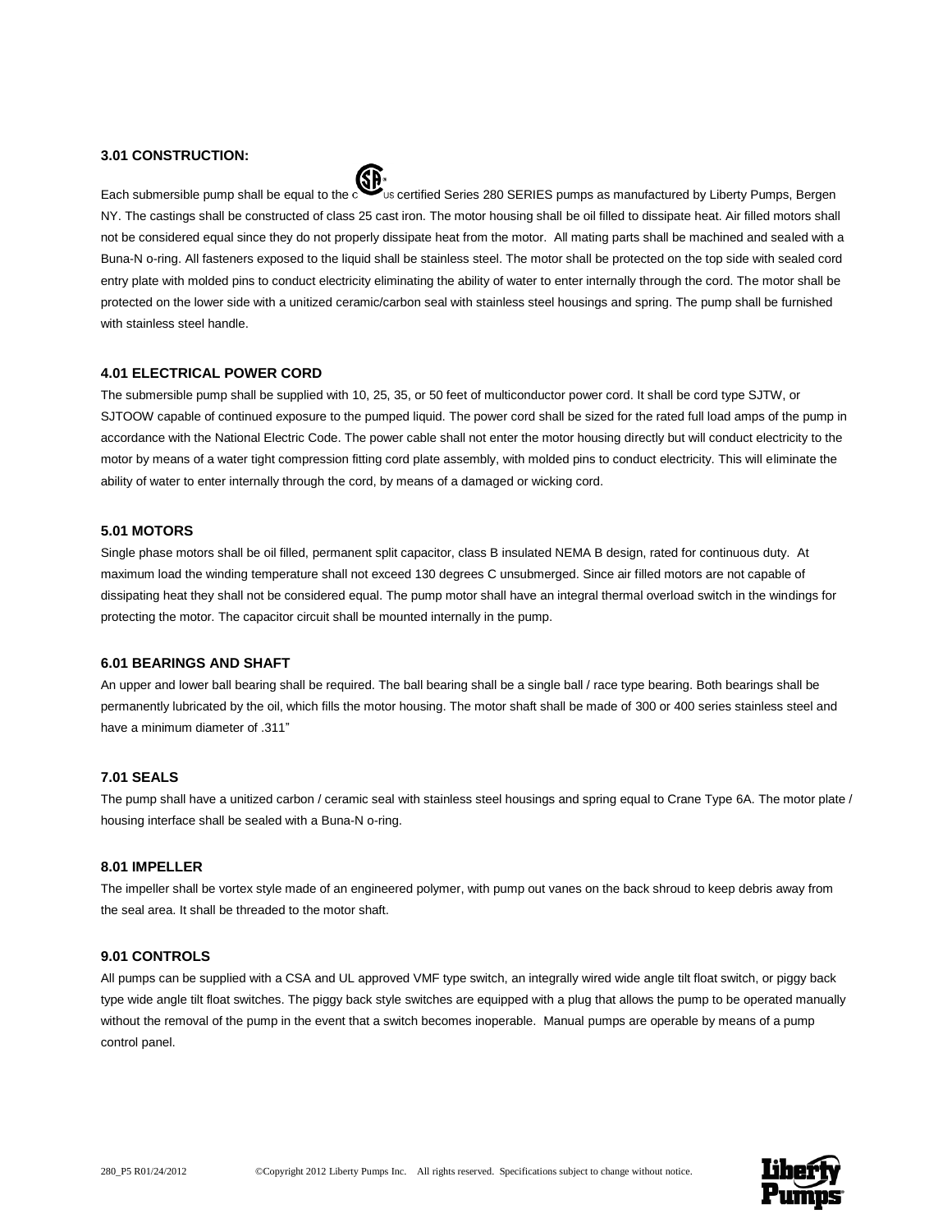#### **3.01 CONSTRUCTION:**



Each submersible pump shall be equal to the certified Series 280 SERIES pumps as manufactured by Liberty Pumps, Bergen NY. The castings shall be constructed of class 25 cast iron. The motor housing shall be oil filled to dissipate heat. Air filled motors shall not be considered equal since they do not properly dissipate heat from the motor. All mating parts shall be machined and sealed with a Buna-N o-ring. All fasteners exposed to the liquid shall be stainless steel. The motor shall be protected on the top side with sealed cord entry plate with molded pins to conduct electricity eliminating the ability of water to enter internally through the cord. The motor shall be protected on the lower side with a unitized ceramic/carbon seal with stainless steel housings and spring. The pump shall be furnished with stainless steel handle.

#### **4.01 ELECTRICAL POWER CORD**

The submersible pump shall be supplied with 10, 25, 35, or 50 feet of multiconductor power cord. It shall be cord type SJTW, or SJTOOW capable of continued exposure to the pumped liquid. The power cord shall be sized for the rated full load amps of the pump in accordance with the National Electric Code. The power cable shall not enter the motor housing directly but will conduct electricity to the motor by means of a water tight compression fitting cord plate assembly, with molded pins to conduct electricity. This will eliminate the ability of water to enter internally through the cord, by means of a damaged or wicking cord.

#### **5.01 MOTORS**

Single phase motors shall be oil filled, permanent split capacitor, class B insulated NEMA B design, rated for continuous duty. At maximum load the winding temperature shall not exceed 130 degrees C unsubmerged. Since air filled motors are not capable of dissipating heat they shall not be considered equal. The pump motor shall have an integral thermal overload switch in the windings for protecting the motor. The capacitor circuit shall be mounted internally in the pump.

#### **6.01 BEARINGS AND SHAFT**

An upper and lower ball bearing shall be required. The ball bearing shall be a single ball / race type bearing. Both bearings shall be permanently lubricated by the oil, which fills the motor housing. The motor shaft shall be made of 300 or 400 series stainless steel and have a minimum diameter of .311"

### **7.01 SEALS**

The pump shall have a unitized carbon / ceramic seal with stainless steel housings and spring equal to Crane Type 6A. The motor plate / housing interface shall be sealed with a Buna-N o-ring.

#### **8.01 IMPELLER**

The impeller shall be vortex style made of an engineered polymer, with pump out vanes on the back shroud to keep debris away from the seal area. It shall be threaded to the motor shaft.

#### **9.01 CONTROLS**

All pumps can be supplied with a CSA and UL approved VMF type switch, an integrally wired wide angle tilt float switch, or piggy back type wide angle tilt float switches. The piggy back style switches are equipped with a plug that allows the pump to be operated manually without the removal of the pump in the event that a switch becomes inoperable. Manual pumps are operable by means of a pump control panel.